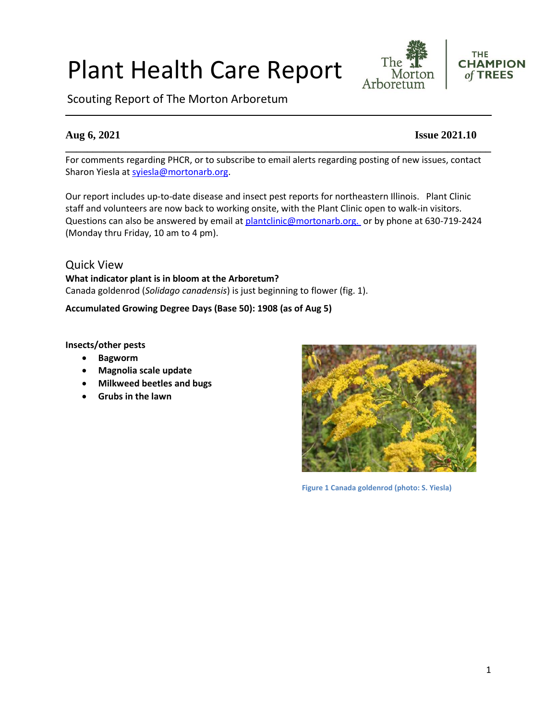# Plant Health Care Report

Scouting Report of The Morton Arboretum

For comments regarding PHCR, or to subscribe to email alerts regarding posting of new issues, contact Sharon Yiesla at [syiesla@mortonarb.org.](mailto:syiesla@mortonarb.org)

**\_\_\_\_\_\_\_\_\_\_\_\_\_\_\_\_\_\_\_\_\_\_\_\_\_\_\_\_\_\_\_\_\_\_\_\_\_\_\_\_\_\_\_\_\_\_\_\_\_\_\_\_\_\_\_\_\_\_\_\_\_\_\_\_\_\_\_\_\_\_\_\_\_\_\_\_\_\_**

Our report includes up-to-date disease and insect pest reports for northeastern Illinois. Plant Clinic staff and volunteers are now back to working onsite, with the Plant Clinic open to walk-in visitors. Questions can also be answered by email at [plantclinic@mortonarb.org.](mailto:plantclinic@mortonarb.org) or by phone at 630-719-2424 (Monday thru Friday, 10 am to 4 pm).

Quick View **What indicator plant is in bloom at the Arboretum?** Canada goldenrod (*Solidago canadensis*) is just beginning to flower (fig. 1).

**Accumulated Growing Degree Days (Base 50): 1908 (as of Aug 5)**

**Insects/other pests**

- **Bagworm**
- **Magnolia scale update**
- **Milkweed beetles and bugs**
- **Grubs in the lawn**



**Figure 1 Canada goldenrod (photo: S. Yiesla)**





### **Aug 6, 2021 Issue 2021.10**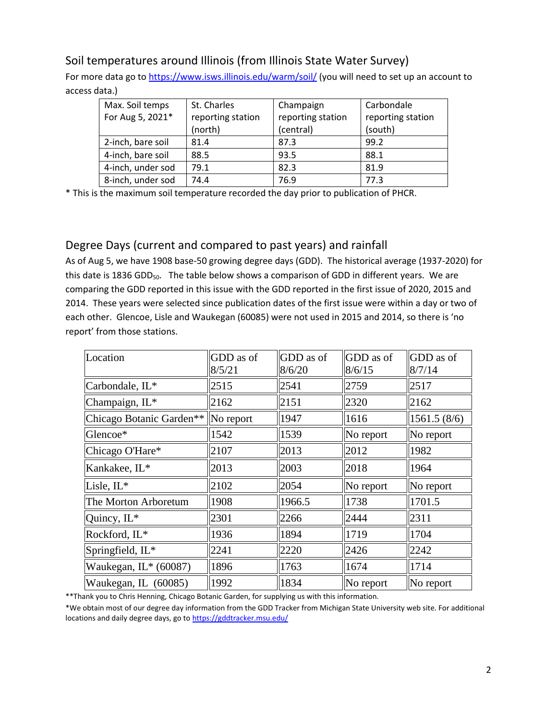# Soil temperatures around Illinois (from Illinois State Water Survey)

For more data go t[o https://www.isws.illinois.edu/warm/soil/](https://www.isws.illinois.edu/warm/soil/) (you will need to set up an account to access data.)

| Max. Soil temps   | St. Charles       | Champaign         | Carbondale        |
|-------------------|-------------------|-------------------|-------------------|
| For Aug 5, 2021*  | reporting station | reporting station | reporting station |
|                   | (north)           | (central)         | (south)           |
| 2-inch, bare soil | 81.4              | 87.3              | 99.2              |
| 4-inch, bare soil | 88.5              | 93.5              | 88.1              |
| 4-inch, under sod | 79.1              | 82.3              | 81.9              |
| 8-inch, under sod | 74.4              | 76.9              | 77.3              |

\* This is the maximum soil temperature recorded the day prior to publication of PHCR.

# Degree Days (current and compared to past years) and rainfall

As of Aug 5, we have 1908 base-50 growing degree days (GDD). The historical average (1937-2020) for this date is 1836 GDD<sub>50</sub>. The table below shows a comparison of GDD in different years. We are comparing the GDD reported in this issue with the GDD reported in the first issue of 2020, 2015 and 2014. These years were selected since publication dates of the first issue were within a day or two of each other. Glencoe, Lisle and Waukegan (60085) were not used in 2015 and 2014, so there is 'no report' from those stations.

| Location                            | GDD as of<br>8/5/21 | GDD as of<br>8/6/20 | GDD as of<br>8/6/15 | GDD as of<br>8/7/14 |
|-------------------------------------|---------------------|---------------------|---------------------|---------------------|
| Carbondale, IL*                     | 2515                | 2541                | 2759                | 2517                |
| Champaign, IL*                      | 2162                | 2151                | 2320                | 2162                |
| Chicago Botanic Garden**  No report |                     | 1947                | 1616                | 1561.5(8/6)         |
| Glencoe*                            | 1542                | 1539                | No report           | No report           |
| Chicago O'Hare*                     | 2107                | 2013                | 2012                | 1982                |
| Kankakee, IL*                       | 2013                | 2003                | 2018                | 1964                |
| Lisle, IL*                          | 2102                | 2054                | No report           | No report           |
| The Morton Arboretum                | 1908                | 1966.5              | 1738                | 1701.5              |
| Quincy, IL*                         | 2301                | 2266                | 2444                | 2311                |
| Rockford, IL*                       | 1936                | 1894                | 1719                | 1704                |
| Springfield, IL*                    | 2241                | 2220                | 2426                | 2242                |
| Waukegan, IL* (60087)               | 1896                | 1763                | 1674                | 1714                |
| Waukegan, IL (60085)                | 1992                | 1834                | No report           | No report           |

\*\*Thank you to Chris Henning, Chicago Botanic Garden, for supplying us with this information.

\*We obtain most of our degree day information from the GDD Tracker from Michigan State University web site. For additional locations and daily degree days, go to <https://gddtracker.msu.edu/>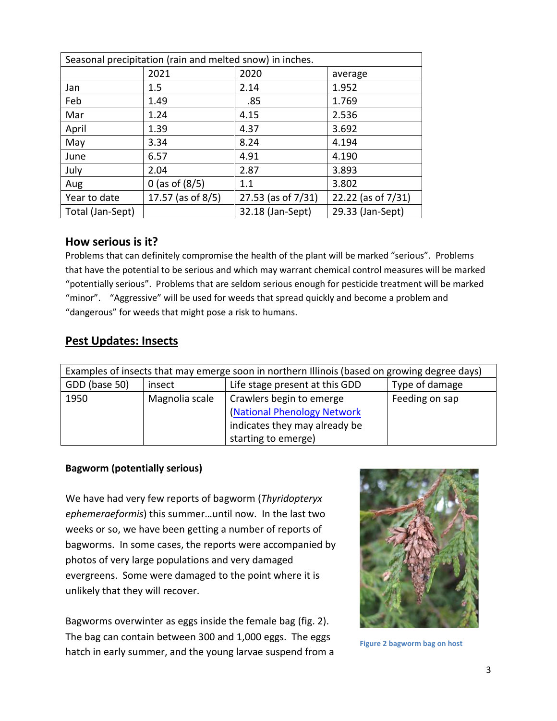| Seasonal precipitation (rain and melted snow) in inches. |                    |                    |                    |
|----------------------------------------------------------|--------------------|--------------------|--------------------|
|                                                          | 2021               | 2020               | average            |
| Jan                                                      | $1.5\,$            | 2.14               | 1.952              |
| Feb                                                      | 1.49               | .85                | 1.769              |
| Mar                                                      | 1.24               | 4.15               | 2.536              |
| April                                                    | 1.39               | 4.37               | 3.692              |
| May                                                      | 3.34               | 8.24               | 4.194              |
| June                                                     | 6.57               | 4.91               | 4.190              |
| July                                                     | 2.04               | 2.87               | 3.893              |
| Aug                                                      | 0 (as of $(8/5)$ ) | 1.1                | 3.802              |
| Year to date                                             | 17.57 (as of 8/5)  | 27.53 (as of 7/31) | 22.22 (as of 7/31) |
| Total (Jan-Sept)                                         |                    | 32.18 (Jan-Sept)   | 29.33 (Jan-Sept)   |

#### **How serious is it?**

Problems that can definitely compromise the health of the plant will be marked "serious".Problems that have the potential to be serious and which may warrant chemical control measures will be marked "potentially serious". Problems that are seldom serious enough for pesticide treatment will be marked "minor". "Aggressive" will be used for weeds that spread quickly and become a problem and "dangerous" for weeds that might pose a risk to humans.

## **Pest Updates: Insects**

| Examples of insects that may emerge soon in northern Illinois (based on growing degree days) |                |                                                                                                                 |                |
|----------------------------------------------------------------------------------------------|----------------|-----------------------------------------------------------------------------------------------------------------|----------------|
| GDD (base 50)                                                                                | insect         | Type of damage<br>Life stage present at this GDD                                                                |                |
| 1950                                                                                         | Magnolia scale | Crawlers begin to emerge<br>(National Phenology Network<br>indicates they may already be<br>starting to emerge) | Feeding on sap |

#### **Bagworm (potentially serious)**

We have had very few reports of bagworm (*Thyridopteryx ephemeraeformis*) this summer…until now. In the last two weeks or so, we have been getting a number of reports of bagworms. In some cases, the reports were accompanied by photos of very large populations and very damaged evergreens. Some were damaged to the point where it is unlikely that they will recover.

Bagworms overwinter as eggs inside the female bag (fig. 2). The bag can contain between 300 and 1,000 eggs. The eggs hatch in early summer, and the young larvae suspend from a



**Figure 2 bagworm bag on host**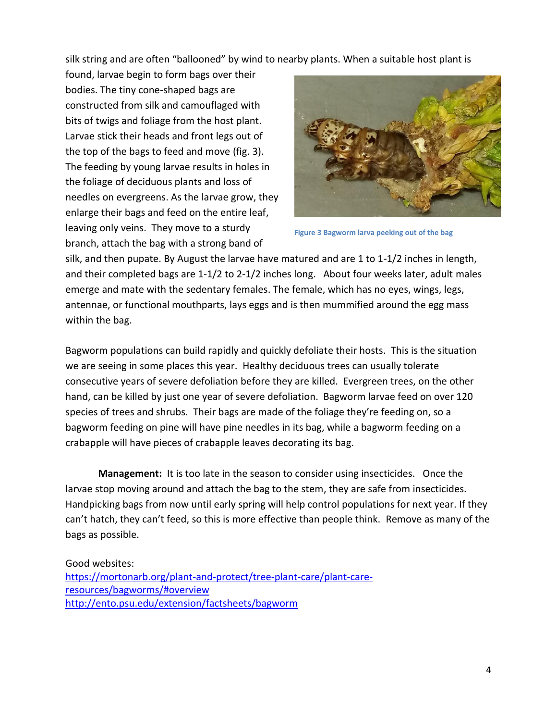silk string and are often "ballooned" by wind to nearby plants. When a suitable host plant is

found, larvae begin to form bags over their bodies. The tiny cone-shaped bags are constructed from silk and camouflaged with bits of twigs and foliage from the host plant. Larvae stick their heads and front legs out of the top of the bags to feed and move (fig. 3). The feeding by young larvae results in holes in the foliage of deciduous plants and loss of needles on evergreens. As the larvae grow, they enlarge their bags and feed on the entire leaf, leaving only veins. They move to a sturdy branch, attach the bag with a strong band of



**Figure 3 Bagworm larva peeking out of the bag**

silk, and then pupate. By August the larvae have matured and are 1 to 1-1/2 inches in length, and their completed bags are 1-1/2 to 2-1/2 inches long. About four weeks later, adult males emerge and mate with the sedentary females. The female, which has no eyes, wings, legs, antennae, or functional mouthparts, lays eggs and is then mummified around the egg mass within the bag.

Bagworm populations can build rapidly and quickly defoliate their hosts. This is the situation we are seeing in some places this year. Healthy deciduous trees can usually tolerate consecutive years of severe defoliation before they are killed. Evergreen trees, on the other hand, can be killed by just one year of severe defoliation. Bagworm larvae feed on over 120 species of trees and shrubs. Their bags are made of the foliage they're feeding on, so a bagworm feeding on pine will have pine needles in its bag, while a bagworm feeding on a crabapple will have pieces of crabapple leaves decorating its bag.

**Management:** It is too late in the season to consider using insecticides. Once the larvae stop moving around and attach the bag to the stem, they are safe from insecticides. Handpicking bags from now until early spring will help control populations for next year. If they can't hatch, they can't feed, so this is more effective than people think. Remove as many of the bags as possible.

#### Good websites: [https://mortonarb.org/plant-and-protect/tree-plant-care/plant-care](https://mortonarb.org/plant-and-protect/tree-plant-care/plant-care-resources/bagworms/#overview)[resources/bagworms/#overview](https://mortonarb.org/plant-and-protect/tree-plant-care/plant-care-resources/bagworms/#overview) <http://ento.psu.edu/extension/factsheets/bagworm>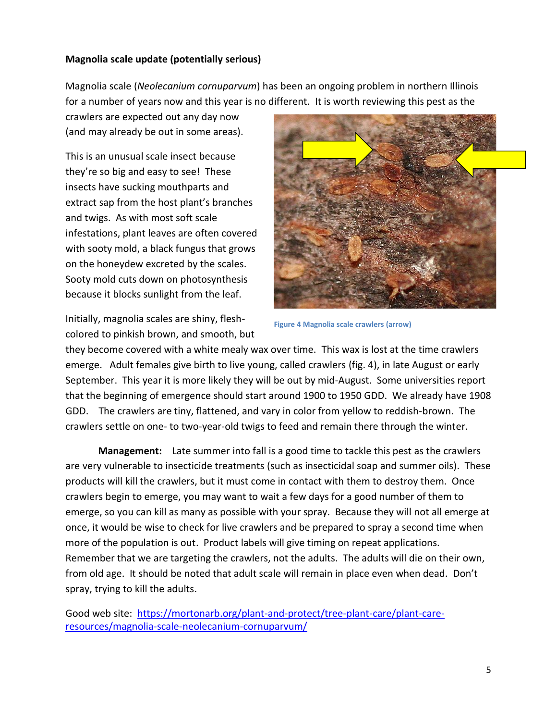#### **Magnolia scale update (potentially serious)**

Magnolia scale (*Neolecanium cornuparvum*) has been an ongoing problem in northern Illinois for a number of years now and this year is no different. It is worth reviewing this pest as the

crawlers are expected out any day now (and may already be out in some areas).

This is an unusual scale insect because they're so big and easy to see! These insects have sucking mouthparts and extract sap from the host plant's branches and twigs. As with most soft scale infestations, plant leaves are often covered with sooty mold, a black fungus that grows on the honeydew excreted by the scales. Sooty mold cuts down on photosynthesis because it blocks sunlight from the leaf.



Initially, magnolia scales are shiny, fleshcolored to pinkish brown, and smooth, but

**Figure 4 Magnolia scale crawlers (arrow)**

they become covered with a white mealy wax over time. This wax is lost at the time crawlers emerge. Adult females give birth to live young, called crawlers (fig. 4), in late August or early September. This year it is more likely they will be out by mid-August. Some universities report that the beginning of emergence should start around 1900 to 1950 GDD. We already have 1908 GDD. The crawlers are tiny, flattened, and vary in color from yellow to reddish-brown. The crawlers settle on one- to two-year-old twigs to feed and remain there through the winter.

**Management:** Late summer into fall is a good time to tackle this pest as the crawlers are very vulnerable to insecticide treatments (such as insecticidal soap and summer oils). These products will kill the crawlers, but it must come in contact with them to destroy them. Once crawlers begin to emerge, you may want to wait a few days for a good number of them to emerge, so you can kill as many as possible with your spray. Because they will not all emerge at once, it would be wise to check for live crawlers and be prepared to spray a second time when more of the population is out. Product labels will give timing on repeat applications. Remember that we are targeting the crawlers, not the adults. The adults will die on their own, from old age. It should be noted that adult scale will remain in place even when dead. Don't spray, trying to kill the adults.

Good web site: [https://mortonarb.org/plant-and-protect/tree-plant-care/plant-care](https://mortonarb.org/plant-and-protect/tree-plant-care/plant-care-resources/magnolia-scale-neolecanium-cornuparvum/)[resources/magnolia-scale-neolecanium-cornuparvum/](https://mortonarb.org/plant-and-protect/tree-plant-care/plant-care-resources/magnolia-scale-neolecanium-cornuparvum/)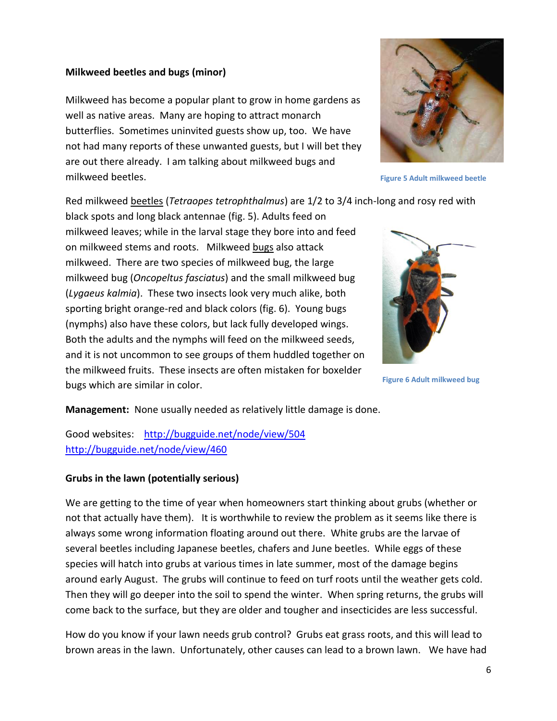#### **Milkweed beetles and bugs (minor)**

Milkweed has become a popular plant to grow in home gardens as well as native areas. Many are hoping to attract monarch butterflies. Sometimes uninvited guests show up, too. We have not had many reports of these unwanted guests, but I will bet they are out there already. I am talking about milkweed bugs and milkweed beetles.

Red milkweed beetles (*Tetraopes tetrophthalmus*) are 1/2 to 3/4 inch-long and rosy red with

black spots and long black antennae (fig. 5). Adults feed on milkweed leaves; while in the larval stage they bore into and feed on milkweed stems and roots. Milkweed bugs also attack milkweed. There are two species of milkweed bug, the large milkweed bug (*Oncopeltus fasciatus*) and the small milkweed bug (*Lygaeus kalmia*). These two insects look very much alike, both sporting bright orange-red and black colors (fig. 6). Young bugs (nymphs) also have these colors, but lack fully developed wings. Both the adults and the nymphs will feed on the milkweed seeds, and it is not uncommon to see groups of them huddled together on the milkweed fruits. These insects are often mistaken for boxelder bugs which are similar in color.



**Figure 5 Adult milkweed beetle**



**Figure 6 Adult milkweed bug**

**Management:** None usually needed as relatively little damage is done.

Good websites: <http://bugguide.net/node/view/504> <http://bugguide.net/node/view/460>

#### **Grubs in the lawn (potentially serious)**

We are getting to the time of year when homeowners start thinking about grubs (whether or not that actually have them). It is worthwhile to review the problem as it seems like there is always some wrong information floating around out there. White grubs are the larvae of several beetles including Japanese beetles, chafers and June beetles. While eggs of these species will hatch into grubs at various times in late summer, most of the damage begins around early August. The grubs will continue to feed on turf roots until the weather gets cold. Then they will go deeper into the soil to spend the winter. When spring returns, the grubs will come back to the surface, but they are older and tougher and insecticides are less successful.

How do you know if your lawn needs grub control? Grubs eat grass roots, and this will lead to brown areas in the lawn. Unfortunately, other causes can lead to a brown lawn. We have had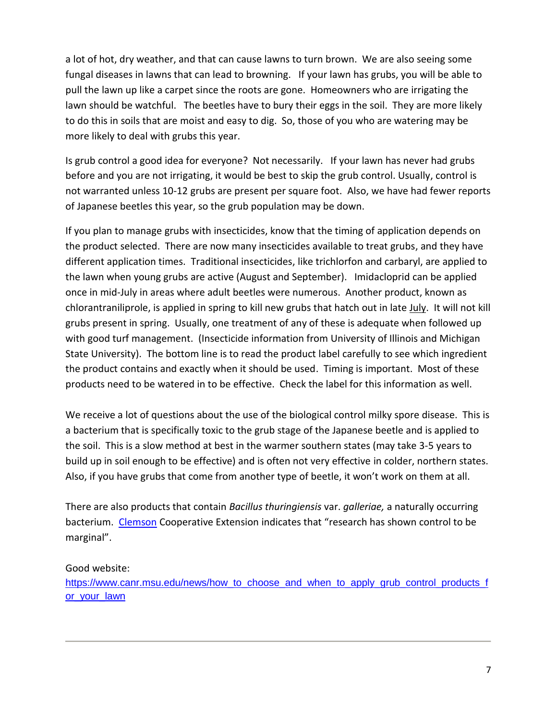a lot of hot, dry weather, and that can cause lawns to turn brown. We are also seeing some fungal diseases in lawns that can lead to browning. If your lawn has grubs, you will be able to pull the lawn up like a carpet since the roots are gone. Homeowners who are irrigating the lawn should be watchful. The beetles have to bury their eggs in the soil. They are more likely to do this in soils that are moist and easy to dig. So, those of you who are watering may be more likely to deal with grubs this year.

Is grub control a good idea for everyone? Not necessarily. If your lawn has never had grubs before and you are not irrigating, it would be best to skip the grub control. Usually, control is not warranted unless 10-12 grubs are present per square foot. Also, we have had fewer reports of Japanese beetles this year, so the grub population may be down.

If you plan to manage grubs with insecticides, know that the timing of application depends on the product selected. There are now many insecticides available to treat grubs, and they have different application times. Traditional insecticides, like trichlorfon and carbaryl, are applied to the lawn when young grubs are active (August and September). Imidacloprid can be applied once in mid-July in areas where adult beetles were numerous. Another product, known as chlorantraniliprole, is applied in spring to kill new grubs that hatch out in late July. It will not kill grubs present in spring. Usually, one treatment of any of these is adequate when followed up with good turf management. (Insecticide information from University of Illinois and Michigan State University). The bottom line is to read the product label carefully to see which ingredient the product contains and exactly when it should be used. Timing is important. Most of these products need to be watered in to be effective. Check the label for this information as well.

We receive a lot of questions about the use of the biological control milky spore disease. This is a bacterium that is specifically toxic to the grub stage of the Japanese beetle and is applied to the soil. This is a slow method at best in the warmer southern states (may take 3-5 years to build up in soil enough to be effective) and is often not very effective in colder, northern states. Also, if you have grubs that come from another type of beetle, it won't work on them at all.

There are also products that contain *Bacillus thuringiensis* var. *galleriae,* a naturally occurring bacterium. [Clemson](https://hgic.clemson.edu/factsheet/white-grub-management-in-turfgrass/) Cooperative Extension indicates that "research has shown control to be marginal".

#### Good website:

[https://www.canr.msu.edu/news/how\\_to\\_choose\\_and\\_when\\_to\\_apply\\_grub\\_control\\_products\\_f](https://www.canr.msu.edu/news/how_to_choose_and_when_to_apply_grub_control_products_for_your_lawn) [or\\_your\\_lawn](https://www.canr.msu.edu/news/how_to_choose_and_when_to_apply_grub_control_products_for_your_lawn)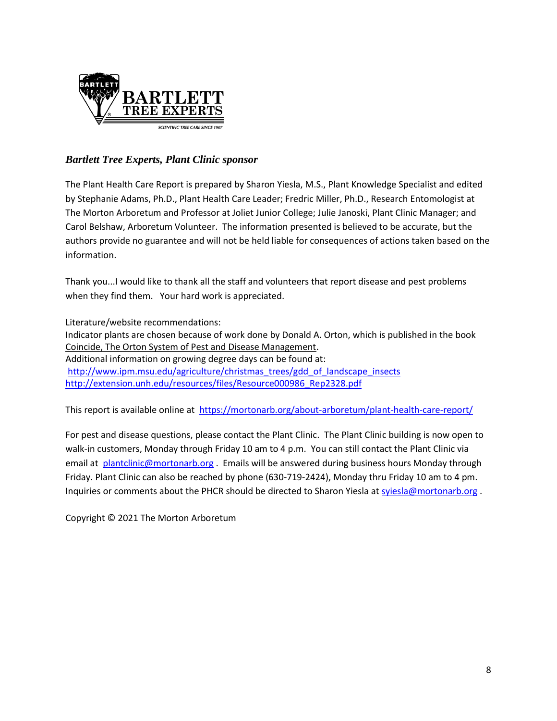

### *Bartlett Tree Experts, Plant Clinic sponsor*

The Plant Health Care Report is prepared by Sharon Yiesla, M.S., Plant Knowledge Specialist and edited by Stephanie Adams, Ph.D., Plant Health Care Leader; Fredric Miller, Ph.D., Research Entomologist at The Morton Arboretum and Professor at Joliet Junior College; Julie Janoski, Plant Clinic Manager; and Carol Belshaw, Arboretum Volunteer. The information presented is believed to be accurate, but the authors provide no guarantee and will not be held liable for consequences of actions taken based on the information.

Thank you...I would like to thank all the staff and volunteers that report disease and pest problems when they find them. Your hard work is appreciated.

Literature/website recommendations: Indicator plants are chosen because of work done by Donald A. Orton, which is published in the book Coincide, The Orton System of Pest and Disease Management. Additional information on growing degree days can be found at: [http://www.ipm.msu.edu/agriculture/christmas\\_trees/gdd\\_of\\_landscape\\_insects](http://www.ipm.msu.edu/agriculture/christmas_trees/gdd_of_landscape_insects) [http://extension.unh.edu/resources/files/Resource000986\\_Rep2328.pdf](http://extension.unh.edu/resources/files/Resource000986_Rep2328.pdf)

This report is available online at <https://mortonarb.org/about-arboretum/plant-health-care-report/>

For pest and disease questions, please contact the Plant Clinic. The Plant Clinic building is now open to walk-in customers, Monday through Friday 10 am to 4 p.m. You can still contact the Plant Clinic via email at [plantclinic@mortonarb.org](mailto:plantclinic@mortonarb.org) . Emails will be answered during business hours Monday through Friday. Plant Clinic can also be reached by phone (630-719-2424), Monday thru Friday 10 am to 4 pm. Inquiries or comments about the PHCR should be directed to Sharon Yiesla a[t syiesla@mortonarb.org](mailto:syiesla@mortonarb.org).

Copyright © 2021 The Morton Arboretum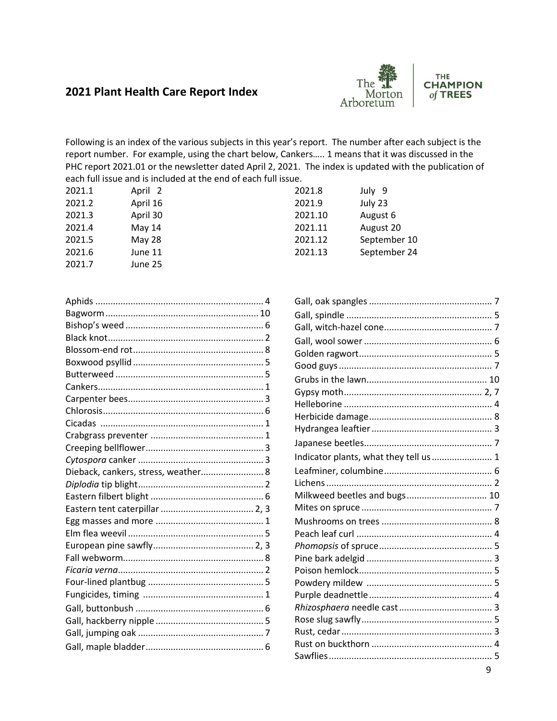# **2021 Plant Health Care Report Index**



**THE CHAMPION** of TREES

Following is an index of the various subjects in this year's report. The number after each subject is the report number. For example, using the chart below, Cankers….. 1 means that it was discussed in the PHC report 2021.01 or the newsletter dated April 2, 2021. The index is updated with the publication of each full issue and is included at the end of each full issue.

| April 2       |
|---------------|
| April 16      |
| April 30      |
| May 14        |
| <b>May 28</b> |
| June 11       |
| June 25       |
|               |

| Dieback, cankers, stress, weather 8 |  |
|-------------------------------------|--|
|                                     |  |
|                                     |  |
|                                     |  |
|                                     |  |
|                                     |  |
|                                     |  |
|                                     |  |
|                                     |  |
|                                     |  |
|                                     |  |
|                                     |  |
|                                     |  |
|                                     |  |
|                                     |  |

| 2021.8  | July 9       |
|---------|--------------|
| 2021.9  | July 23      |
| 2021.10 | August 6     |
| 2021.11 | August 20    |
| 2021.12 | September 10 |
| 2021.13 | September 24 |
|         |              |

| Indicator plants, what they tell us  1 |  |
|----------------------------------------|--|
|                                        |  |
|                                        |  |
| Milkweed beetles and bugs 10           |  |
|                                        |  |
|                                        |  |
|                                        |  |
|                                        |  |
|                                        |  |
|                                        |  |
|                                        |  |
|                                        |  |
|                                        |  |
|                                        |  |
|                                        |  |
|                                        |  |
|                                        |  |